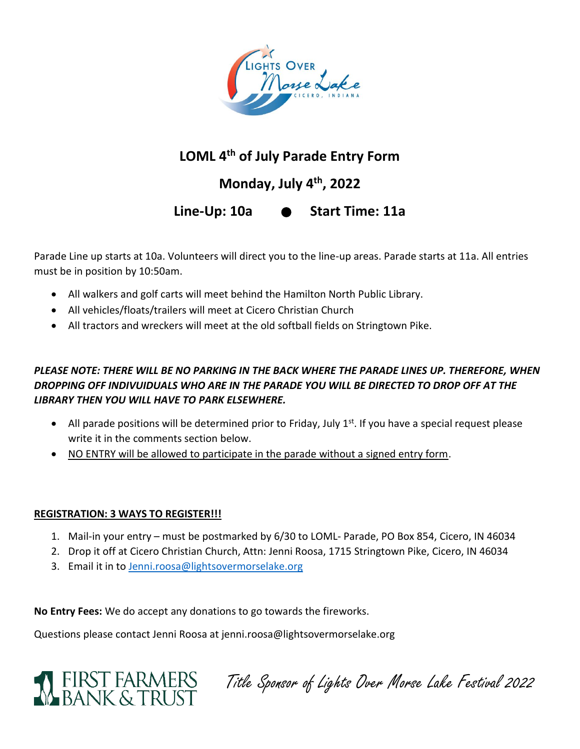

# **LOML 4th of July Parade Entry Form**

# **Monday, July 4th, 2022**

**Line-Up: 10a Start Time: 11a**

Parade Line up starts at 10a. Volunteers will direct you to the line-up areas. Parade starts at 11a. All entries must be in position by 10:50am.

- All walkers and golf carts will meet behind the Hamilton North Public Library.
- All vehicles/floats/trailers will meet at Cicero Christian Church
- All tractors and wreckers will meet at the old softball fields on Stringtown Pike.

### *PLEASE NOTE: THERE WILL BE NO PARKING IN THE BACK WHERE THE PARADE LINES UP. THEREFORE, WHEN DROPPING OFF INDIVUIDUALS WHO ARE IN THE PARADE YOU WILL BE DIRECTED TO DROP OFF AT THE LIBRARY THEN YOU WILL HAVE TO PARK ELSEWHERE.*

- All parade positions will be determined prior to Friday, July  $1<sup>st</sup>$ . If you have a special request please write it in the comments section below.
- NO ENTRY will be allowed to participate in the parade without a signed entry form.

#### **REGISTRATION: 3 WAYS TO REGISTER!!!**

- 1. Mail-in your entry must be postmarked by 6/30 to LOML- Parade, PO Box 854, Cicero, IN 46034
- 2. Drop it off at Cicero Christian Church, Attn: Jenni Roosa, 1715 Stringtown Pike, Cicero, IN 46034
- 3. Email it in t[o Jenni.roosa@lightsovermorselake.org](mailto:Jenni.roosa@lightsovermorselake.org)

**No Entry Fees:** We do accept any donations to go towards the fireworks.

Questions please contact Jenni Roosa at jenni.roosa@lightsovermorselake.org



FIRST FARMERS Title Sponsor of Lights Over Morse Lake Festival 2022<br>RANIK & TRI IST